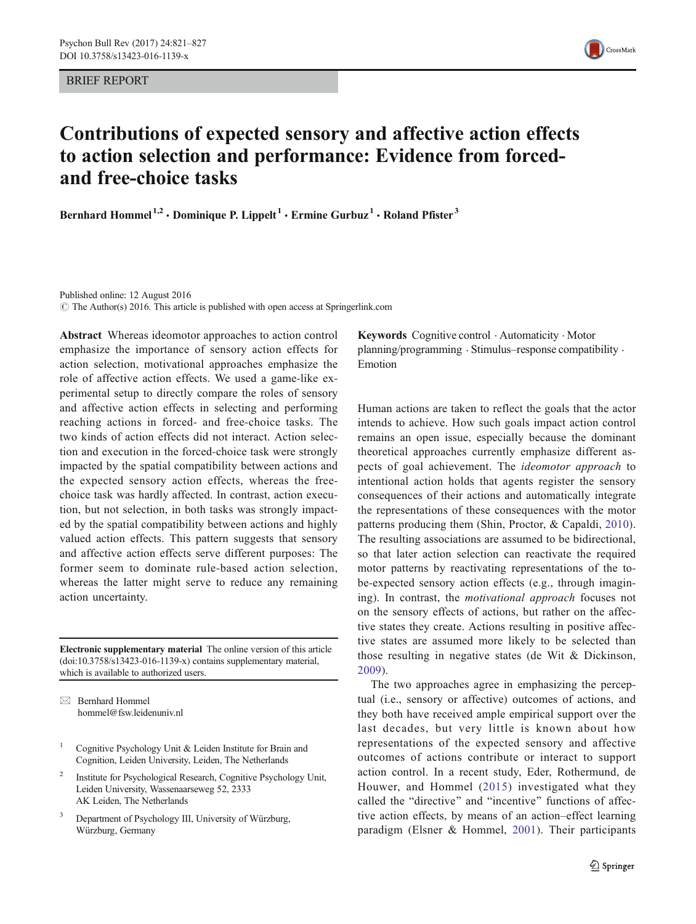BRIEF REPORT



# Contributions of expected sensory and affective action effects to action selection and performance: Evidence from forcedand free-choice tasks

Bernhard Hommel<sup>1,2</sup> · Dominique P. Lippelt<sup>1</sup> · Ermine Gurbuz<sup>1</sup> · Roland Pfister<sup>3</sup>

Published online: 12 August 2016  $\odot$  The Author(s) 2016. This article is published with open access at Springerlink.com

Abstract Whereas ideomotor approaches to action control emphasize the importance of sensory action effects for action selection, motivational approaches emphasize the role of affective action effects. We used a game-like experimental setup to directly compare the roles of sensory and affective action effects in selecting and performing reaching actions in forced- and free-choice tasks. The two kinds of action effects did not interact. Action selection and execution in the forced-choice task were strongly impacted by the spatial compatibility between actions and the expected sensory action effects, whereas the freechoice task was hardly affected. In contrast, action execution, but not selection, in both tasks was strongly impacted by the spatial compatibility between actions and highly valued action effects. This pattern suggests that sensory and affective action effects serve different purposes: The former seem to dominate rule-based action selection, whereas the latter might serve to reduce any remaining action uncertainty.

Electronic supplementary material The online version of this article (doi[:10.3758/s13423-016-1139-x\)](http://dx.doi.org/10.3758/s13423-016-1139-x) contains supplementary material, which is available to authorized users.

 $\boxtimes$  Bernhard Hommel hommel@fsw.leidenuniv.nl

- <sup>1</sup> Cognitive Psychology Unit & Leiden Institute for Brain and Cognition, Leiden University, Leiden, The Netherlands
- <sup>2</sup> Institute for Psychological Research, Cognitive Psychology Unit, Leiden University, Wassenaarseweg 52, 2333 AK Leiden, The Netherlands
- <sup>3</sup> Department of Psychology III, University of Würzburg, Würzburg, Germany

Keywords Cognitive control . Automaticity . Motor planning/programming . Stimulus–response compatibility . Emotion

Human actions are taken to reflect the goals that the actor intends to achieve. How such goals impact action control remains an open issue, especially because the dominant theoretical approaches currently emphasize different aspects of goal achievement. The ideomotor approach to intentional action holds that agents register the sensory consequences of their actions and automatically integrate the representations of these consequences with the motor patterns producing them (Shin, Proctor, & Capaldi, [2010](#page-5-0)). The resulting associations are assumed to be bidirectional, so that later action selection can reactivate the required motor patterns by reactivating representations of the tobe-expected sensory action effects (e.g., through imagining). In contrast, the motivational approach focuses not on the sensory effects of actions, but rather on the affective states they create. Actions resulting in positive affective states are assumed more likely to be selected than those resulting in negative states (de Wit & Dickinson, [2009](#page-5-0)).

The two approaches agree in emphasizing the perceptual (i.e., sensory or affective) outcomes of actions, and they both have received ample empirical support over the last decades, but very little is known about how representations of the expected sensory and affective outcomes of actions contribute or interact to support action control. In a recent study, Eder, Rothermund, de Houwer, and Hommel [\(2015\)](#page-5-0) investigated what they called the "directive" and "incentive" functions of affective action effects, by means of an action–effect learning paradigm (Elsner & Hommel, [2001](#page-5-0)). Their participants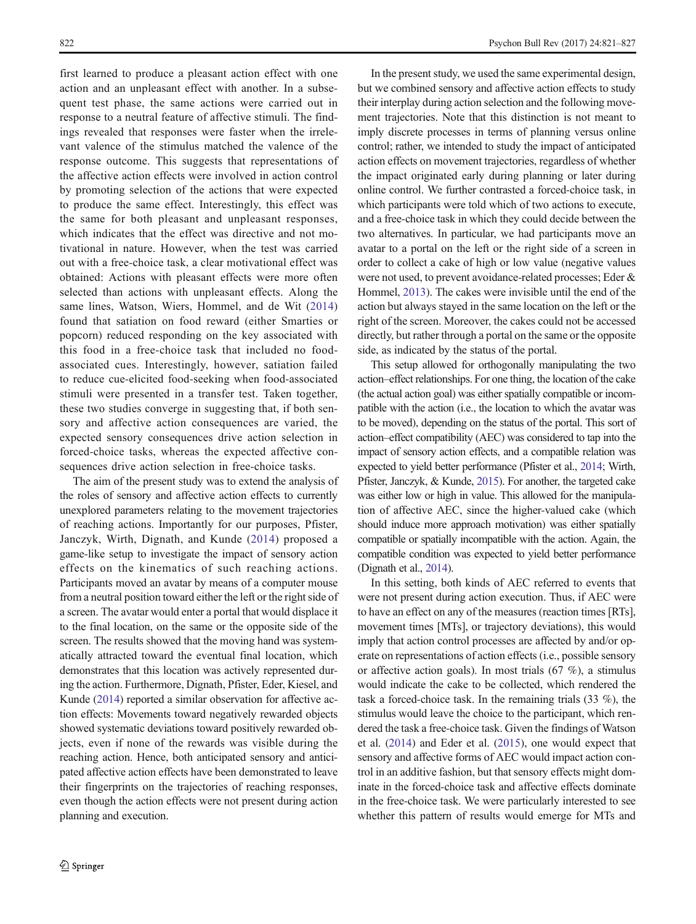first learned to produce a pleasant action effect with one action and an unpleasant effect with another. In a subsequent test phase, the same actions were carried out in response to a neutral feature of affective stimuli. The findings revealed that responses were faster when the irrelevant valence of the stimulus matched the valence of the response outcome. This suggests that representations of the affective action effects were involved in action control by promoting selection of the actions that were expected to produce the same effect. Interestingly, this effect was the same for both pleasant and unpleasant responses, which indicates that the effect was directive and not motivational in nature. However, when the test was carried out with a free-choice task, a clear motivational effect was obtained: Actions with pleasant effects were more often selected than actions with unpleasant effects. Along the same lines, Watson, Wiers, Hommel, and de Wit ([2014\)](#page-6-0) found that satiation on food reward (either Smarties or popcorn) reduced responding on the key associated with this food in a free-choice task that included no foodassociated cues. Interestingly, however, satiation failed to reduce cue-elicited food-seeking when food-associated stimuli were presented in a transfer test. Taken together, these two studies converge in suggesting that, if both sensory and affective action consequences are varied, the expected sensory consequences drive action selection in forced-choice tasks, whereas the expected affective consequences drive action selection in free-choice tasks.

The aim of the present study was to extend the analysis of the roles of sensory and affective action effects to currently unexplored parameters relating to the movement trajectories of reaching actions. Importantly for our purposes, Pfister, Janczyk, Wirth, Dignath, and Kunde ([2014\)](#page-5-0) proposed a game-like setup to investigate the impact of sensory action effects on the kinematics of such reaching actions. Participants moved an avatar by means of a computer mouse from a neutral position toward either the left or the right side of a screen. The avatar would enter a portal that would displace it to the final location, on the same or the opposite side of the screen. The results showed that the moving hand was systematically attracted toward the eventual final location, which demonstrates that this location was actively represented during the action. Furthermore, Dignath, Pfister, Eder, Kiesel, and Kunde [\(2014\)](#page-5-0) reported a similar observation for affective action effects: Movements toward negatively rewarded objects showed systematic deviations toward positively rewarded objects, even if none of the rewards was visible during the reaching action. Hence, both anticipated sensory and anticipated affective action effects have been demonstrated to leave their fingerprints on the trajectories of reaching responses, even though the action effects were not present during action planning and execution.

In the present study, we used the same experimental design, but we combined sensory and affective action effects to study their interplay during action selection and the following movement trajectories. Note that this distinction is not meant to imply discrete processes in terms of planning versus online control; rather, we intended to study the impact of anticipated action effects on movement trajectories, regardless of whether the impact originated early during planning or later during online control. We further contrasted a forced-choice task, in which participants were told which of two actions to execute, and a free-choice task in which they could decide between the two alternatives. In particular, we had participants move an avatar to a portal on the left or the right side of a screen in order to collect a cake of high or low value (negative values were not used, to prevent avoidance-related processes; Eder & Hommel, [2013\)](#page-5-0). The cakes were invisible until the end of the action but always stayed in the same location on the left or the right of the screen. Moreover, the cakes could not be accessed directly, but rather through a portal on the same or the opposite side, as indicated by the status of the portal.

This setup allowed for orthogonally manipulating the two action–effect relationships. For one thing, the location of the cake (the actual action goal) was either spatially compatible or incompatible with the action (i.e., the location to which the avatar was to be moved), depending on the status of the portal. This sort of action–effect compatibility (AEC) was considered to tap into the impact of sensory action effects, and a compatible relation was expected to yield better performance (Pfister et al., [2014](#page-5-0); Wirth, Pfister, Janczyk, & Kunde, [2015\)](#page-6-0). For another, the targeted cake was either low or high in value. This allowed for the manipulation of affective AEC, since the higher-valued cake (which should induce more approach motivation) was either spatially compatible or spatially incompatible with the action. Again, the compatible condition was expected to yield better performance (Dignath et al., [2014](#page-5-0)).

In this setting, both kinds of AEC referred to events that were not present during action execution. Thus, if AEC were to have an effect on any of the measures (reaction times [RTs], movement times [MTs], or trajectory deviations), this would imply that action control processes are affected by and/or operate on representations of action effects (i.e., possible sensory or affective action goals). In most trials  $(67 \%)$ , a stimulus would indicate the cake to be collected, which rendered the task a forced-choice task. In the remaining trials (33 %), the stimulus would leave the choice to the participant, which rendered the task a free-choice task. Given the findings of Watson et al. [\(2014\)](#page-6-0) and Eder et al. ([2015\)](#page-5-0), one would expect that sensory and affective forms of AEC would impact action control in an additive fashion, but that sensory effects might dominate in the forced-choice task and affective effects dominate in the free-choice task. We were particularly interested to see whether this pattern of results would emerge for MTs and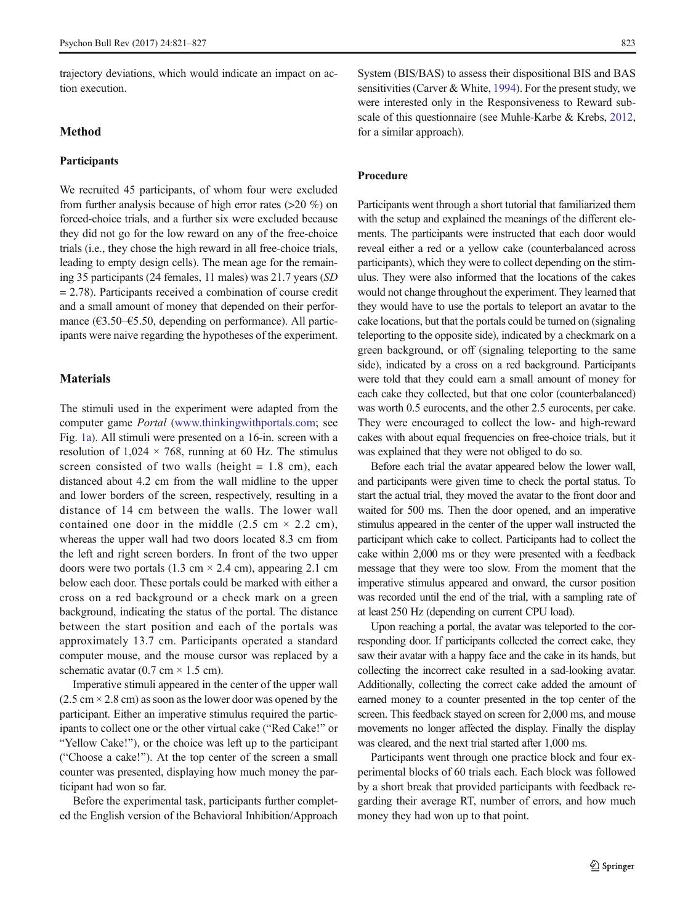trajectory deviations, which would indicate an impact on action execution.

# Method

#### Participants

We recruited 45 participants, of whom four were excluded from further analysis because of high error rates (>20 %) on forced-choice trials, and a further six were excluded because they did not go for the low reward on any of the free-choice trials (i.e., they chose the high reward in all free-choice trials, leading to empty design cells). The mean age for the remaining 35 participants (24 females, 11 males) was 21.7 years (SD = 2.78). Participants received a combination of course credit and a small amount of money that depended on their performance (€3.50–€5.50, depending on performance). All participants were naive regarding the hypotheses of the experiment.

# **Materials**

The stimuli used in the experiment were adapted from the computer game Portal ([www.thinkingwithportals.com](http://www.thinkingwithportals.com/); see Fig. [1a](#page-3-0)). All stimuli were presented on a 16-in. screen with a resolution of  $1,024 \times 768$ , running at 60 Hz. The stimulus screen consisted of two walls (height  $= 1.8$  cm), each distanced about 4.2 cm from the wall midline to the upper and lower borders of the screen, respectively, resulting in a distance of 14 cm between the walls. The lower wall contained one door in the middle  $(2.5 \text{ cm} \times 2.2 \text{ cm})$ , whereas the upper wall had two doors located 8.3 cm from the left and right screen borders. In front of the two upper doors were two portals  $(1.3 \text{ cm} \times 2.4 \text{ cm})$ , appearing 2.1 cm below each door. These portals could be marked with either a cross on a red background or a check mark on a green background, indicating the status of the portal. The distance between the start position and each of the portals was approximately 13.7 cm. Participants operated a standard computer mouse, and the mouse cursor was replaced by a schematic avatar (0.7 cm  $\times$  1.5 cm).

Imperative stimuli appeared in the center of the upper wall  $(2.5 \text{ cm} \times 2.8 \text{ cm})$  as soon as the lower door was opened by the participant. Either an imperative stimulus required the participants to collect one or the other virtual cake ("Red Cake!" or "Yellow Cake!"), or the choice was left up to the participant ("Choose a cake!"). At the top center of the screen a small counter was presented, displaying how much money the participant had won so far.

Before the experimental task, participants further completed the English version of the Behavioral Inhibition/Approach System (BIS/BAS) to assess their dispositional BIS and BAS sensitivities (Carver & White, [1994\)](#page-5-0). For the present study, we were interested only in the Responsiveness to Reward subscale of this questionnaire (see Muhle-Karbe & Krebs, [2012,](#page-5-0) for a similar approach).

#### Procedure

Participants went through a short tutorial that familiarized them with the setup and explained the meanings of the different elements. The participants were instructed that each door would reveal either a red or a yellow cake (counterbalanced across participants), which they were to collect depending on the stimulus. They were also informed that the locations of the cakes would not change throughout the experiment. They learned that they would have to use the portals to teleport an avatar to the cake locations, but that the portals could be turned on (signaling teleporting to the opposite side), indicated by a checkmark on a green background, or off (signaling teleporting to the same side), indicated by a cross on a red background. Participants were told that they could earn a small amount of money for each cake they collected, but that one color (counterbalanced) was worth 0.5 eurocents, and the other 2.5 eurocents, per cake. They were encouraged to collect the low- and high-reward cakes with about equal frequencies on free-choice trials, but it was explained that they were not obliged to do so.

Before each trial the avatar appeared below the lower wall, and participants were given time to check the portal status. To start the actual trial, they moved the avatar to the front door and waited for 500 ms. Then the door opened, and an imperative stimulus appeared in the center of the upper wall instructed the participant which cake to collect. Participants had to collect the cake within 2,000 ms or they were presented with a feedback message that they were too slow. From the moment that the imperative stimulus appeared and onward, the cursor position was recorded until the end of the trial, with a sampling rate of at least 250 Hz (depending on current CPU load).

Upon reaching a portal, the avatar was teleported to the corresponding door. If participants collected the correct cake, they saw their avatar with a happy face and the cake in its hands, but collecting the incorrect cake resulted in a sad-looking avatar. Additionally, collecting the correct cake added the amount of earned money to a counter presented in the top center of the screen. This feedback stayed on screen for 2,000 ms, and mouse movements no longer affected the display. Finally the display was cleared, and the next trial started after 1,000 ms.

Participants went through one practice block and four experimental blocks of 60 trials each. Each block was followed by a short break that provided participants with feedback regarding their average RT, number of errors, and how much money they had won up to that point.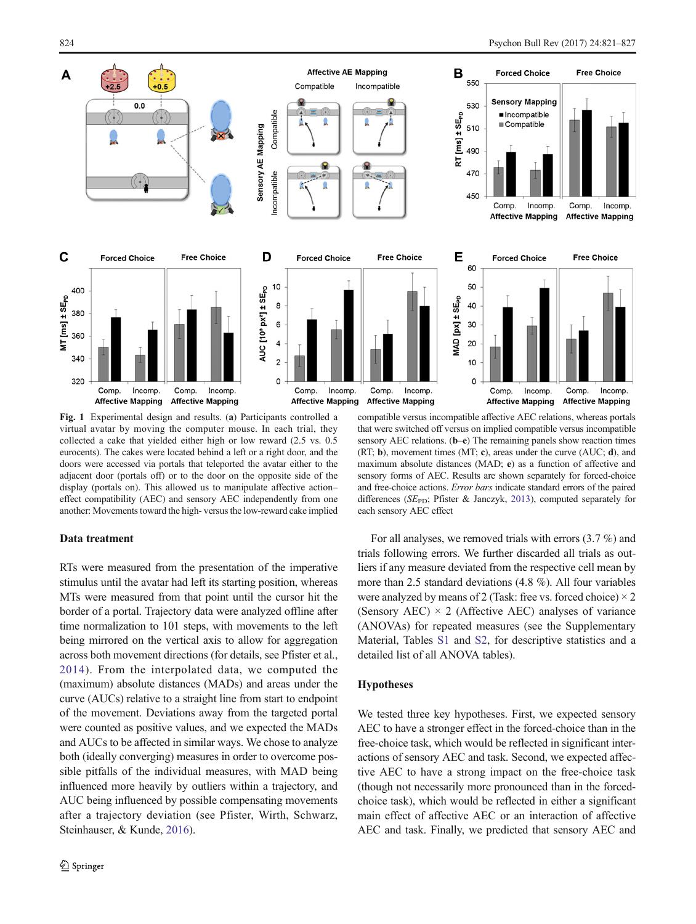<span id="page-3-0"></span>

Fig. 1 Experimental design and results. (a) Participants controlled a virtual avatar by moving the computer mouse. In each trial, they collected a cake that yielded either high or low reward (2.5 vs. 0.5 eurocents). The cakes were located behind a left or a right door, and the doors were accessed via portals that teleported the avatar either to the adjacent door (portals off) or to the door on the opposite side of the display (portals on). This allowed us to manipulate affective action– effect compatibility (AEC) and sensory AEC independently from one another: Movements toward the high- versus the low-reward cake implied

#### Data treatment

RTs were measured from the presentation of the imperative stimulus until the avatar had left its starting position, whereas MTs were measured from that point until the cursor hit the border of a portal. Trajectory data were analyzed offline after time normalization to 101 steps, with movements to the left being mirrored on the vertical axis to allow for aggregation across both movement directions (for details, see Pfister et al., [2014\)](#page-5-0). From the interpolated data, we computed the (maximum) absolute distances (MADs) and areas under the curve (AUCs) relative to a straight line from start to endpoint of the movement. Deviations away from the targeted portal were counted as positive values, and we expected the MADs and AUCs to be affected in similar ways. We chose to analyze both (ideally converging) measures in order to overcome possible pitfalls of the individual measures, with MAD being influenced more heavily by outliers within a trajectory, and AUC being influenced by possible compensating movements after a trajectory deviation (see Pfister, Wirth, Schwarz, Steinhauser, & Kunde, [2016\)](#page-5-0).

compatible versus incompatible affective AEC relations, whereas portals that were switched off versus on implied compatible versus incompatible sensory AEC relations. (b–e) The remaining panels show reaction times  $(RT; b)$ , movement times  $(MT; c)$ , areas under the curve  $(AUC; d)$ , and maximum absolute distances (MAD; e) as a function of affective and sensory forms of AEC. Results are shown separately for forced-choice and free-choice actions. Error bars indicate standard errors of the paired differences ( $SE_{\text{PD}}$ ; Pfister & Janczyk, [2013](#page-5-0)), computed separately for each sensory AEC effect

For all analyses, we removed trials with errors (3.7 %) and trials following errors. We further discarded all trials as outliers if any measure deviated from the respective cell mean by more than 2.5 standard deviations (4.8 %). All four variables were analyzed by means of 2 (Task: free vs. forced choice)  $\times$  2 (Sensory AEC)  $\times$  2 (Affective AEC) analyses of variance (ANOVAs) for repeated measures (see the Supplementary Material, Tables S1 and S2, for descriptive statistics and a detailed list of all ANOVA tables).

# Hypotheses

We tested three key hypotheses. First, we expected sensory AEC to have a stronger effect in the forced-choice than in the free-choice task, which would be reflected in significant interactions of sensory AEC and task. Second, we expected affective AEC to have a strong impact on the free-choice task (though not necessarily more pronounced than in the forcedchoice task), which would be reflected in either a significant main effect of affective AEC or an interaction of affective AEC and task. Finally, we predicted that sensory AEC and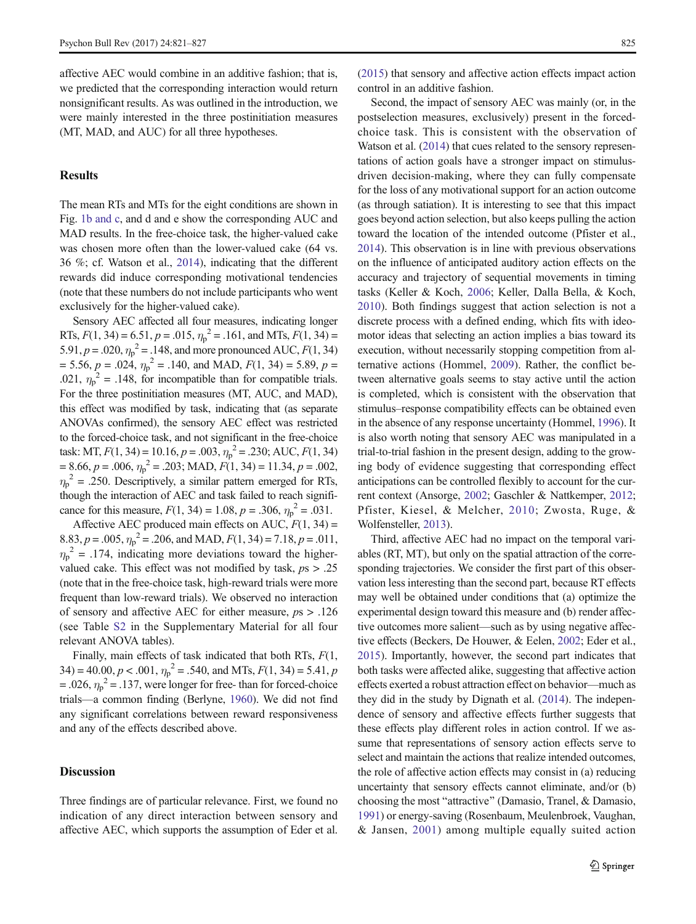affective AEC would combine in an additive fashion; that is, we predicted that the corresponding interaction would return nonsignificant results. As was outlined in the introduction, we were mainly interested in the three postinitiation measures (MT, MAD, and AUC) for all three hypotheses.

# Results

The mean RTs and MTs for the eight conditions are shown in Fig. [1b and c,](#page-3-0) and d and e show the corresponding AUC and MAD results. In the free-choice task, the higher-valued cake was chosen more often than the lower-valued cake (64 vs. 36 %; cf. Watson et al., [2014\)](#page-6-0), indicating that the different rewards did induce corresponding motivational tendencies (note that these numbers do not include participants who went exclusively for the higher-valued cake).

Sensory AEC affected all four measures, indicating longer RTs,  $F(1, 34) = 6.51$ ,  $p = .015$ ,  $\eta_p^2 = .161$ , and MTs,  $F(1, 34) =$ 5.91,  $p = .020$ ,  $\eta_p^2 = .148$ , and more pronounced AUC,  $F(1, 34)$  $= 5.56, p = .024, \eta_p^2 = .140, \text{ and MAD}, F(1, 34) = 5.89, p =$ .021,  $\eta_p^2 = .148$ , for incompatible than for compatible trials. For the three postinitiation measures (MT, AUC, and MAD), this effect was modified by task, indicating that (as separate ANOVAs confirmed), the sensory AEC effect was restricted to the forced-choice task, and not significant in the free-choice task: MT,  $F(1, 34) = 10.16$ ,  $p = .003$ ,  $\eta_p^2 = .230$ ; AUC,  $F(1, 34)$  $= 8.66, p = .006, \eta_p^2 = .203; \text{MAD}, F(1, 34) = 11.34, p = .002,$  $\eta_p^2$  = .250. Descriptively, a similar pattern emerged for RTs, though the interaction of AEC and task failed to reach significance for this measure,  $F(1, 34) = 1.08$ ,  $p = .306$ ,  $\eta_p^2 = .031$ .

Affective AEC produced main effects on AUC,  $F(1, 34) =$ 8.83,  $p = .005$ ,  $\eta_p^2 = .206$ , and MAD,  $F(1, 34) = 7.18$ ,  $p = .011$ ,  $\eta_p^2$  = .174, indicating more deviations toward the highervalued cake. This effect was not modified by task,  $p_s > .25$ (note that in the free-choice task, high-reward trials were more frequent than low-reward trials). We observed no interaction of sensory and affective AEC for either measure, ps > .126 (see Table S2 in the Supplementary Material for all four relevant ANOVA tables).

Finally, main effects of task indicated that both RTs, F(1, 34) = 40.00,  $p < .001$ ,  $\eta_p^2 = .540$ , and MTs,  $F(1, 34) = 5.41$ ,  $p$  $= .026, \eta_p^2 = .137$ , were longer for free-than for forced-choice trials—a common finding (Berlyne, [1960](#page-5-0)). We did not find any significant correlations between reward responsiveness and any of the effects described above.

# Discussion

Three findings are of particular relevance. First, we found no indication of any direct interaction between sensory and affective AEC, which supports the assumption of Eder et al.

[\(2015\)](#page-5-0) that sensory and affective action effects impact action control in an additive fashion.

Second, the impact of sensory AEC was mainly (or, in the postselection measures, exclusively) present in the forcedchoice task. This is consistent with the observation of Watson et al. ([2014](#page-6-0)) that cues related to the sensory representations of action goals have a stronger impact on stimulusdriven decision-making, where they can fully compensate for the loss of any motivational support for an action outcome (as through satiation). It is interesting to see that this impact goes beyond action selection, but also keeps pulling the action toward the location of the intended outcome (Pfister et al., [2014\)](#page-5-0). This observation is in line with previous observations on the influence of anticipated auditory action effects on the accuracy and trajectory of sequential movements in timing tasks (Keller & Koch, [2006](#page-5-0); Keller, Dalla Bella, & Koch, [2010](#page-5-0)). Both findings suggest that action selection is not a discrete process with a defined ending, which fits with ideomotor ideas that selecting an action implies a bias toward its execution, without necessarily stopping competition from alternative actions (Hommel, [2009](#page-5-0)). Rather, the conflict between alternative goals seems to stay active until the action is completed, which is consistent with the observation that stimulus–response compatibility effects can be obtained even in the absence of any response uncertainty (Hommel, [1996\)](#page-5-0). It is also worth noting that sensory AEC was manipulated in a trial-to-trial fashion in the present design, adding to the growing body of evidence suggesting that corresponding effect anticipations can be controlled flexibly to account for the current context (Ansorge, [2002;](#page-5-0) Gaschler & Nattkemper, [2012;](#page-5-0) Pfister, Kiesel, & Melcher, [2010](#page-5-0); Zwosta, Ruge, & Wolfensteller, [2013\)](#page-6-0).

Third, affective AEC had no impact on the temporal variables (RT, MT), but only on the spatial attraction of the corresponding trajectories. We consider the first part of this observation less interesting than the second part, because RT effects may well be obtained under conditions that (a) optimize the experimental design toward this measure and (b) render affective outcomes more salient—such as by using negative affective effects (Beckers, De Houwer, & Eelen, [2002;](#page-5-0) Eder et al., [2015\)](#page-5-0). Importantly, however, the second part indicates that both tasks were affected alike, suggesting that affective action effects exerted a robust attraction effect on behavior—much as they did in the study by Dignath et al. ([2014](#page-5-0)). The independence of sensory and affective effects further suggests that these effects play different roles in action control. If we assume that representations of sensory action effects serve to select and maintain the actions that realize intended outcomes, the role of affective action effects may consist in (a) reducing uncertainty that sensory effects cannot eliminate, and/or (b) choosing the most "attractive" (Damasio, Tranel, & Damasio, [1991\)](#page-5-0) or energy-saving (Rosenbaum, Meulenbroek, Vaughan, & Jansen, [2001](#page-5-0)) among multiple equally suited action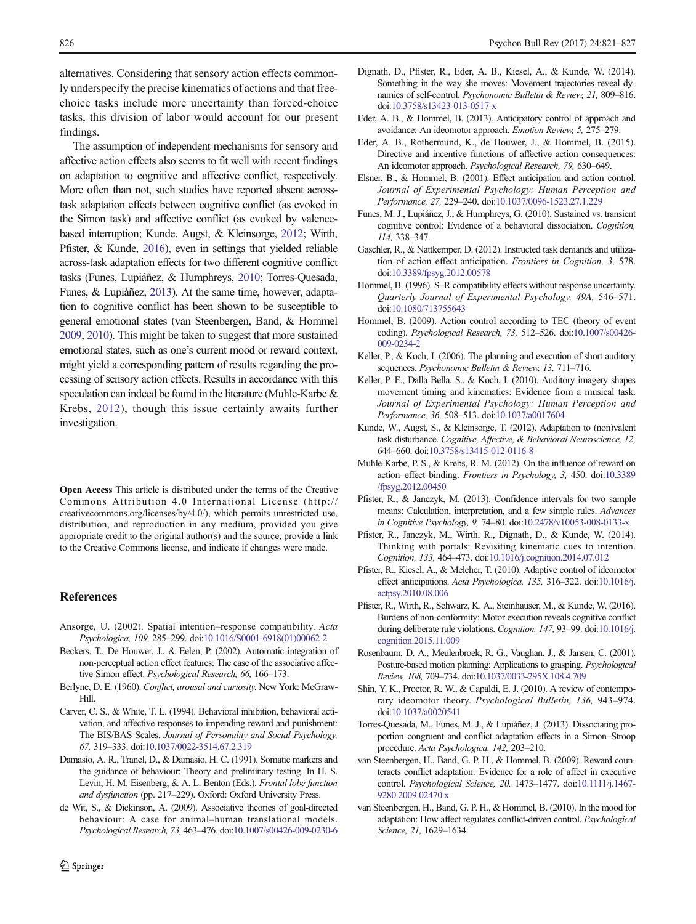<span id="page-5-0"></span>alternatives. Considering that sensory action effects commonly underspecify the precise kinematics of actions and that freechoice tasks include more uncertainty than forced-choice tasks, this division of labor would account for our present findings.

The assumption of independent mechanisms for sensory and affective action effects also seems to fit well with recent findings on adaptation to cognitive and affective conflict, respectively. More often than not, such studies have reported absent acrosstask adaptation effects between cognitive conflict (as evoked in the Simon task) and affective conflict (as evoked by valencebased interruption; Kunde, Augst, & Kleinsorge, 2012; Wirth, Pfister, & Kunde, [2016](#page-6-0)), even in settings that yielded reliable across-task adaptation effects for two different cognitive conflict tasks (Funes, Lupiáñez, & Humphreys, 2010; Torres-Quesada, Funes, & Lupiáñez, 2013). At the same time, however, adaptation to cognitive conflict has been shown to be susceptible to general emotional states (van Steenbergen, Band, & Hommel 2009, 2010). This might be taken to suggest that more sustained emotional states, such as one's current mood or reward context, might yield a corresponding pattern of results regarding the processing of sensory action effects. Results in accordance with this speculation can indeed be found in the literature (Muhle-Karbe & Krebs, 2012), though this issue certainly awaits further investigation.

Open Access This article is distributed under the terms of the Creative Commons Attribution 4.0 International License (http:// creativecommons.org/licenses/by/4.0/), which permits unrestricted use, distribution, and reproduction in any medium, provided you give appropriate credit to the original author(s) and the source, provide a link to the Creative Commons license, and indicate if changes were made.

# References

- Ansorge, U. (2002). Spatial intention–response compatibility. Acta Psychologica, 109, 285–299. doi[:10.1016/S0001-6918\(01\)00062-2](http://dx.doi.org/10.1016/S0001-6918(01)00062-2)
- Beckers, T., De Houwer, J., & Eelen, P. (2002). Automatic integration of non-perceptual action effect features: The case of the associative affective Simon effect. Psychological Research, 66, 166–173.
- Berlyne, D. E. (1960). Conflict, arousal and curiosity. New York: McGraw-Hill.
- Carver, C. S., & White, T. L. (1994). Behavioral inhibition, behavioral activation, and affective responses to impending reward and punishment: The BIS/BAS Scales. Journal of Personality and Social Psychology, 67, 319–333. doi[:10.1037/0022-3514.67.2.319](http://dx.doi.org/10.1037/0022-3514.67.2.319)
- Damasio, A. R., Tranel, D., & Damasio, H. C. (1991). Somatic markers and the guidance of behaviour: Theory and preliminary testing. In H. S. Levin, H. M. Eisenberg, & A. L. Benton (Eds.), Frontal lobe function and dysfunction (pp. 217–229). Oxford: Oxford University Press.
- de Wit, S., & Dickinson, A. (2009). Associative theories of goal-directed behaviour: A case for animal–human translational models. Psychological Research, 73, 463–476. doi[:10.1007/s00426-009-0230-6](http://dx.doi.org/10.1007/s00426-009-0230-6)
- Dignath, D., Pfister, R., Eder, A. B., Kiesel, A., & Kunde, W. (2014). Something in the way she moves: Movement trajectories reveal dynamics of self-control. Psychonomic Bulletin & Review, 21, 809–816. doi[:10.3758/s13423-013-0517-x](http://dx.doi.org/10.3758/s13423-013-0517-x)
- Eder, A. B., & Hommel, B. (2013). Anticipatory control of approach and avoidance: An ideomotor approach. Emotion Review, 5, 275–279.
- Eder, A. B., Rothermund, K., de Houwer, J., & Hommel, B. (2015). Directive and incentive functions of affective action consequences: An ideomotor approach. Psychological Research, 79, 630–649.
- Elsner, B., & Hommel, B. (2001). Effect anticipation and action control. Journal of Experimental Psychology: Human Perception and Performance, 27, 229–240. doi[:10.1037/0096-1523.27.1.229](http://dx.doi.org/10.1037/0096-1523.27.1.229)
- Funes, M. J., Lupiáñez, J., & Humphreys, G. (2010). Sustained vs. transient cognitive control: Evidence of a behavioral dissociation. Cognition, 114, 338–347.
- Gaschler, R., & Nattkemper, D. (2012). Instructed task demands and utilization of action effect anticipation. Frontiers in Cognition, 3, 578. doi[:10.3389/fpsyg.2012.00578](http://dx.doi.org/10.3389/fpsyg.2012.00578)
- Hommel, B. (1996). S–R compatibility effects without response uncertainty. Quarterly Journal of Experimental Psychology, 49A, 546–571. doi[:10.1080/713755643](http://dx.doi.org/10.1080/713755643)
- Hommel, B. (2009). Action control according to TEC (theory of event coding). Psychological Research, 73, 512–526. doi[:10.1007/s00426-](http://dx.doi.org/10.1007/s00426-009-0234-2) [009-0234-2](http://dx.doi.org/10.1007/s00426-009-0234-2)
- Keller, P., & Koch, I. (2006). The planning and execution of short auditory sequences. Psychonomic Bulletin & Review, 13, 711-716.
- Keller, P. E., Dalla Bella, S., & Koch, I. (2010). Auditory imagery shapes movement timing and kinematics: Evidence from a musical task. Journal of Experimental Psychology: Human Perception and Performance, 36, 508–513. doi[:10.1037/a0017604](http://dx.doi.org/10.1037/a0017604)
- Kunde, W., Augst, S., & Kleinsorge, T. (2012). Adaptation to (non)valent task disturbance. Cognitive, Affective, & Behavioral Neuroscience, 12, 644–660. doi[:10.3758/s13415-012-0116-8](http://dx.doi.org/10.3758/s13415-012-0116-8)
- Muhle-Karbe, P. S., & Krebs, R. M. (2012). On the influence of reward on action–effect binding. Frontiers in Psychology, 3, 450. doi[:10.3389](http://dx.doi.org/10.3389/fpsyg.2012.00450) [/fpsyg.2012.00450](http://dx.doi.org/10.3389/fpsyg.2012.00450)
- Pfister, R., & Janczyk, M. (2013). Confidence intervals for two sample means: Calculation, interpretation, and a few simple rules. Advances in Cognitive Psychology, 9, 74–80. doi[:10.2478/v10053-008-0133-x](http://dx.doi.org/10.2478/v10053-008-0133-x)
- Pfister, R., Janczyk, M., Wirth, R., Dignath, D., & Kunde, W. (2014). Thinking with portals: Revisiting kinematic cues to intention. Cognition, 133, 464–473. doi:[10.1016/j.cognition.2014.07.012](http://dx.doi.org/10.1016/j.cognition.2014.07.012)
- Pfister, R., Kiesel, A., & Melcher, T. (2010). Adaptive control of ideomotor effect anticipations. Acta Psychologica, 135, 316–322. doi[:10.1016/j.](http://dx.doi.org/10.1016/j.actpsy.2010.08.006) [actpsy.2010.08.006](http://dx.doi.org/10.1016/j.actpsy.2010.08.006)
- Pfister, R., Wirth, R., Schwarz, K. A., Steinhauser, M., & Kunde, W. (2016). Burdens of non-conformity: Motor execution reveals cognitive conflict during deliberate rule violations. Cognition, 147, 93–99. doi[:10.1016/j.](http://dx.doi.org/10.1016/j.cognition.2015.11.009) [cognition.2015.11.009](http://dx.doi.org/10.1016/j.cognition.2015.11.009)
- Rosenbaum, D. A., Meulenbroek, R. G., Vaughan, J., & Jansen, C. (2001). Posture-based motion planning: Applications to grasping. Psychological Review, 108, 709–734. doi[:10.1037/0033-295X.108.4.709](http://dx.doi.org/10.1037/0033-295X.108.4.709)
- Shin, Y. K., Proctor, R. W., & Capaldi, E. J. (2010). A review of contemporary ideomotor theory. Psychological Bulletin, 136, 943–974. doi[:10.1037/a0020541](http://dx.doi.org/10.1037/a0020541)
- Torres-Quesada, M., Funes, M. J., & Lupiáñez, J. (2013). Dissociating proportion congruent and conflict adaptation effects in a Simon–Stroop procedure. Acta Psychologica, 142, 203–210.
- van Steenbergen, H., Band, G. P. H., & Hommel, B. (2009). Reward counteracts conflict adaptation: Evidence for a role of affect in executive control. Psychological Science, 20, 1473–1477. doi[:10.1111/j.1467-](http://dx.doi.org/10.1111/j.1467-9280.2009.02470.x) [9280.2009.02470.x](http://dx.doi.org/10.1111/j.1467-9280.2009.02470.x)
- van Steenbergen, H., Band, G. P. H., & Hommel, B. (2010). In the mood for adaptation: How affect regulates conflict-driven control. Psychological Science, 21, 1629–1634.